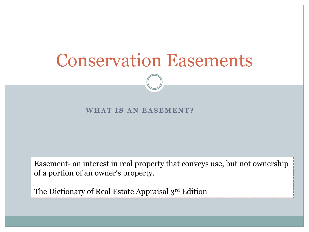#### WHAT IS AN EASEMENT?

Easement- an interest in real property that conveys use, but not ownership of a portion of an owner's property.

The Dictionary of Real Estate Appraisal 3rd Edition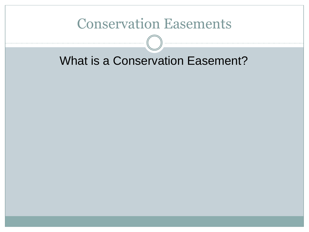#### What is a Conservation Easement?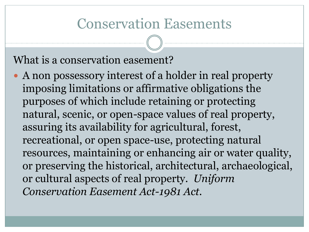#### What is a conservation easement?

 A non possessory interest of a holder in real property imposing limitations or affirmative obligations the purposes of which include retaining or protecting natural, scenic, or open-space values of real property, assuring its availability for agricultural, forest, recreational, or open space-use, protecting natural resources, maintaining or enhancing air or water quality, or preserving the historical, architectural, archaeological, or cultural aspects of real property. *Uniform Conservation Easement Act-1981 Act.*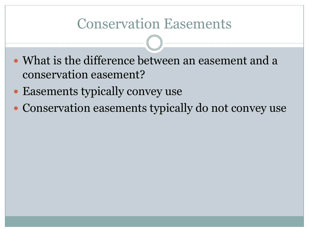- What is the difference between an easement and a conservation easement?
- Easements typically convey use
- Conservation easements typically do not convey use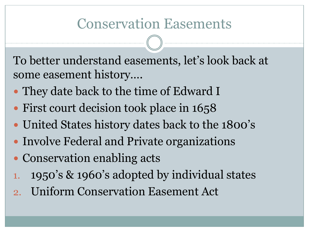To better understand easements, let's look back at some easement history….

- They date back to the time of Edward I
- First court decision took place in 1658
- United States history dates back to the 1800's
- Involve Federal and Private organizations
- Conservation enabling acts
- 1. 1950's & 1960's adopted by individual states
- 2. Uniform Conservation Easement Act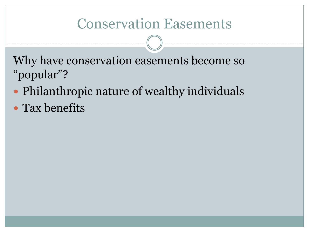Why have conservation easements become so "popular"?

- Philanthropic nature of wealthy individuals
- Tax benefits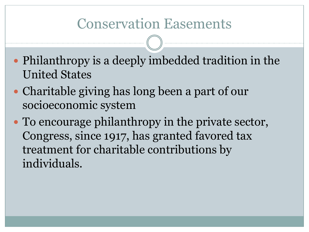- Philanthropy is a deeply imbedded tradition in the United States
- Charitable giving has long been a part of our socioeconomic system
- To encourage philanthropy in the private sector, Congress, since 1917, has granted favored tax treatment for charitable contributions by individuals.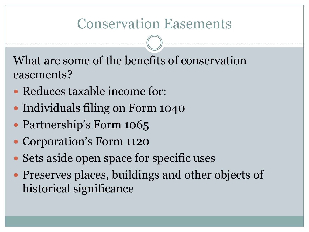What are some of the benefits of conservation easements?

- Reduces taxable income for:
- Individuals filing on Form 1040
- Partnership's Form 1065
- Corporation's Form 1120
- Sets aside open space for specific uses
- Preserves places, buildings and other objects of historical significance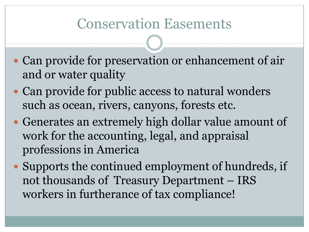- Can provide for preservation or enhancement of air and or water quality
- Can provide for public access to natural wonders such as ocean, rivers, canyons, forests etc.
- Generates an extremely high dollar value amount of work for the accounting, legal, and appraisal professions in America
- Supports the continued employment of hundreds, if not thousands of Treasury Department – IRS workers in furtherance of tax compliance!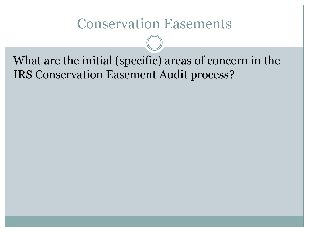What are the initial (specific) areas of concern in the IRS Conservation Easement Audit process?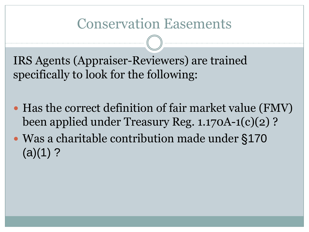IRS Agents (Appraiser-Reviewers) are trained specifically to look for the following:

- Has the correct definition of fair market value (FMV) been applied under Treasury Reg. 1.170A-1(c)(2) ?
- Was a charitable contribution made under §170  $(a)(1)$ ?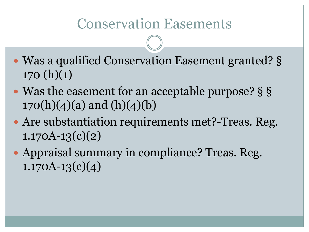- Was a qualified Conservation Easement granted? §  $170(h)(1)$
- Was the easement for an acceptable purpose? § §  $170(h)(4)(a)$  and  $(h)(4)(b)$
- Are substantiation requirements met?-Treas. Reg.  $1.170A-13(c)(2)$
- Appraisal summary in compliance? Treas. Reg.  $1.170A-13(c)(4)$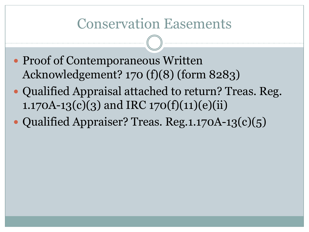- Proof of Contemporaneous Written Acknowledgement? 170 (f)(8) (form 8283)
- Qualified Appraisal attached to return? Treas. Reg. 1.170A-13(c)(3) and IRC 170(f)(11)(e)(ii)
- Qualified Appraiser? Treas. Reg.1.170A-13(c)(5)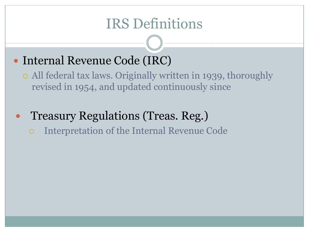### IRS Definitions

#### • Internal Revenue Code (IRC)

 All federal tax laws. Originally written in 1939, thoroughly revised in 1954, and updated continuously since

 Treasury Regulations (Treas. Reg.) Interpretation of the Internal Revenue Code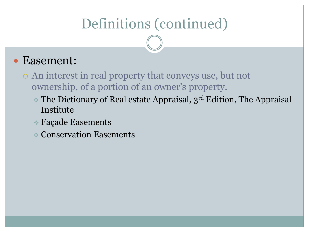#### Easement:

- An interest in real property that conveys use, but not ownership, of a portion of an owner's property.
	- $\cdot$  The Dictionary of Real estate Appraisal,  $3^{rd}$  Edition, The Appraisal Institute
	- Façade Easements
	- Conservation Easements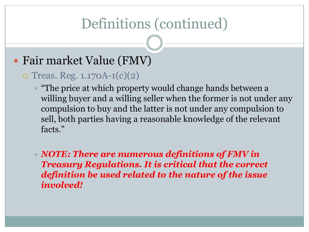#### Fair market Value (FMV)

#### $\circ$  Treas. Reg. 1.170A-1(c)(2)

 $\overline{\phantom{a}}$  "The price at which property would change hands between a willing buyer and a willing seller when the former is not under any compulsion to buy and the latter is not under any compulsion to sell, both parties having a reasonable knowledge of the relevant facts."

 *NOTE: There are numerous definitions of FMV in Treasury Regulations. It is critical that the correct definition be used related to the nature of the issue involved!*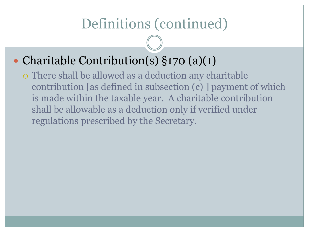#### • Charitable Contribution(s) §170 (a)(1)

 There shall be allowed as a deduction any charitable contribution [as defined in subsection (c) ] payment of which is made within the taxable year. A charitable contribution shall be allowable as a deduction only if verified under regulations prescribed by the Secretary.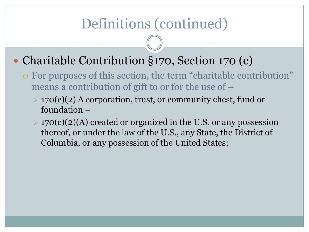#### • Charitable Contribution §170, Section 170 (c)

- $\circ$  For purposes of this section, the term "charitable contribution" means a contribution of gift to or for the use of –
	- $\geq 170(c)(2)$  A corporation, trust, or community chest, fund or foundation –
	- $\geq 170(c)(2)$ (A) created or organized in the U.S. or any possession thereof, or under the law of the U.S., any State, the District of Columbia, or any possession of the United States;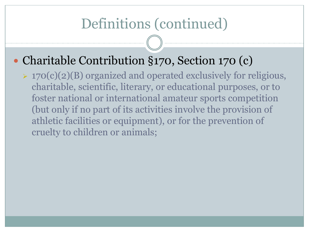#### • Charitable Contribution §170, Section 170 (c)

 $\rightarrow$  170(c)(2)(B) organized and operated exclusively for religious, charitable, scientific, literary, or educational purposes, or to foster national or international amateur sports competition (but only if no part of its activities involve the provision of athletic facilities or equipment), or for the prevention of cruelty to children or animals;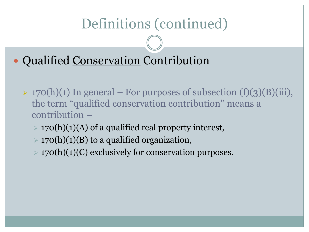Qualified Conservation Contribution

- $\rightarrow$  170(h)(1) In general For purposes of subsection (f)(3)(B)(iii), the term "qualified conservation contribution" means a contribution –
	- $\geq$  170(h)(1)(A) of a qualified real property interest,
	- $\geq 170(h)(1)(B)$  to a qualified organization,
	- $\geq$  170(h)(1)(C) exclusively for conservation purposes.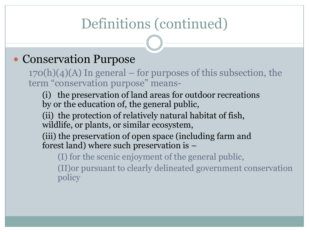#### Conservation Purpose

 $170(h)(4)(A)$  In general – for purposes of this subsection, the term "conservation purpose" means-

(i) the preservation of land areas for outdoor recreations by or the education of, the general public,

(ii) the protection of relatively natural habitat of fish, wildlife, or plants, or similar ecosystem,

(iii) the preservation of open space (including farm and forest land) where such preservation is –

(I) for the scenic enjoyment of the general public,

(II)or pursuant to clearly delineated government conservation policy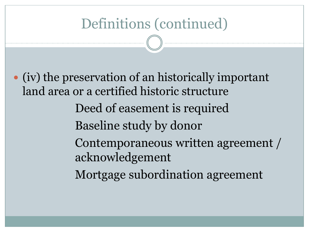(iv) the preservation of an historically important land area or a certified historic structure Deed of easement is required Baseline study by donor Contemporaneous written agreement / acknowledgement Mortgage subordination agreement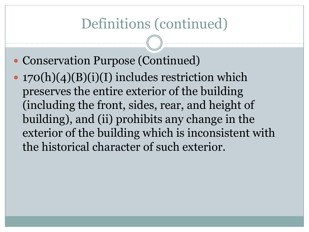- Conservation Purpose (Continued)
- 170(h)(4)(B)(i)(I) includes restriction which preserves the entire exterior of the building (including the front, sides, rear, and height of building), and (ii) prohibits any change in the exterior of the building which is inconsistent with the historical character of such exterior.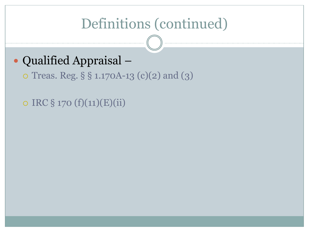#### Qualified Appraisal –

Treas. Reg. § § 1.170A-13 (c)(2) and (3)

 $\circ$  IRC § 170 (f)(11)(E)(ii)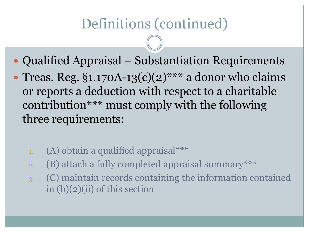- Qualified Appraisal Substantiation Requirements
- Treas. Reg.  $\S1.170A-13(c)(2)$ <sup>\*\*\*</sup> a donor who claims or reports a deduction with respect to a charitable contribution\*\*\* must comply with the following three requirements:
	- 1. (A) obtain a qualified appraisal\*\*\*
	- 2. (B) attach a fully completed appraisal summary\*\*\*
	- 3. (C) maintain records containing the information contained in (b)(2)(ii) of this section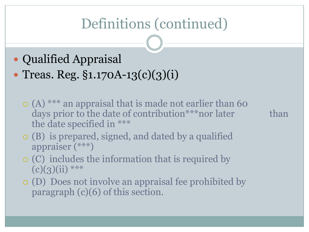- Qualified Appraisal • Treas. Reg. §1.170A-13(c)(3)(i)
	- $\circ$  (A) \*\*\* an appraisal that is made not earlier than 60 days prior to the date of contribution<sup>\*\*\*</sup>nor later than the date specified in \*\*\*

- (B) is prepared, signed, and dated by a qualified appraiser (\*\*\*)
- (C) includes the information that is required by  $(c)(3)(ii)$ \*\*\*
- (D) Does not involve an appraisal fee prohibited by paragraph (c)(6) of this section.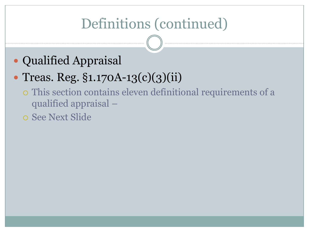Qualified Appraisal

### • Treas. Reg. §1.170A-13(c)(3)(ii)

- This section contains eleven definitional requirements of a qualified appraisal –
- See Next Slide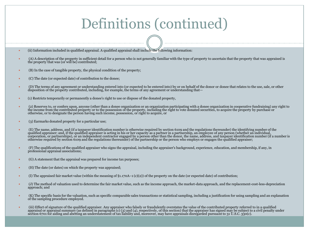- (ii) Information included in qualified appraisal. A qualified appraisal shall include the following information:
- (A) A description of the property in sufficient detail for a person who is not generally familiar with the type of property to ascertain that the property that was appraised is the property that was (or will be) contributed;
- (B) In the case of tangible property, the physical condition of the property;
- (C) The date (or expected date) of contribution to the donee;
- (D) The terms of any agreement or understanding entered into (or expected to be entered into) by or on behalf of the donor or donee that relates to the use, sale, or other disposition of the property contributed, including, for example, the terms of any agreement or understanding that—
- (1) Restricts temporarily or permanently a donee's right to use or dispose of the donated property,
- (2) Reserves to, or confers upon, anyone (other than a donee organization or an organization participating with a donee organization in cooperative fundraising) any right to the income from the contributed property or to the possession of the property, including the right to vote donated securities, to acquire the property by purchase or otherwise, or to designate the person having such income, possession, or right to acquire, or
- (3) Earmarks donated property for a particular use;
- E) The name, address, and (if a taxpayer identification number is otherwise required by section 6109 and the regulations thereunder) the identifying number of the qualified appraiser; and, if the qualified appraiser is act otherwise required by section 6109 and the regulations thereunder) of the partnership or the person who employs or engages the qualified appraiser;
- (F) The qualifications of the qualified appraiser who signs the appraisal, including the appraiser's background, experience, education, and membership, if any, in professional appraisal associations;
- (G) A statement that the appraisal was prepared for income tax purposes;
- (H) The date (or dates) on which the property was appraised;
- (I) The appraised fair market value (within the meaning of §1.170A–1 (c)(2)) of the property on the date (or expected date) of contribution;
- (J) The method of valuation used to determine the fair market value, such as the income approach, the market-data approach, and the replacement-cost-less-depreciation approach; and
- (K) The specific basis for the valuation, such as specific comparable sales transactions or statistical sampling, including a justification for using sampling and an explanation of the sampling procedure employed.
- iii) Effect of signature of the qualified appraiser. Any appraiser who falsely or fraudulently overstates the value of the contributed property referred to in a qualified appraisal or appraisal summary (as defined in parag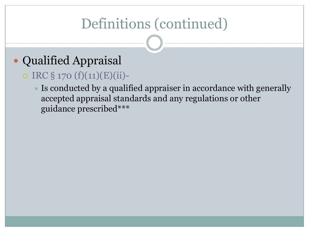### Qualified Appraisal

#### $\circ$  IRC § 170 (f)(11)(E)(ii)-

 $\blacktriangleright$  Is conducted by a qualified appraiser in accordance with generally accepted appraisal standards and any regulations or other guidance prescribed\*\*\*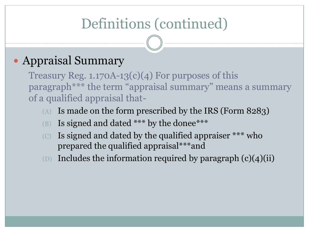#### • Appraisal Summary

Treasury Reg.  $1.170A-13(c)(4)$  For purposes of this paragraph<sup>\*\*\*</sup> the term "appraisal summary" means a summary of a qualified appraisal that-

- (A) Is made on the form prescribed by the IRS (Form 8283)
- (B) Is signed and dated \*\*\* by the donee\*\*\*
- (c) Is signed and dated by the qualified appraiser  $***$  who prepared the qualified appraisal\*\*\*and
- (D) Includes the information required by paragraph  $(c)(4)(ii)$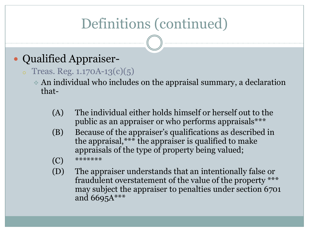#### Qualified Appraiser-

- $\circ$  Treas. Reg. 1.170A-13(c)(5)
	- An individual who includes on the appraisal summary, a declaration that-
		- (A) The individual either holds himself or herself out to the public as an appraiser or who performs appraisals\*\*\*
		- (B) Because of the appraiser's qualifications as described in the appraisal,\*\*\* the appraiser is qualified to make appraisals of the type of property being valued;
		- $(C)$  \*\*\*\*\*\*\*\*
		- (D) The appraiser understands that an intentionally false or fraudulent overstatement of the value of the property \*\*\* may subject the appraiser to penalties under section 6701 and  $6695A***$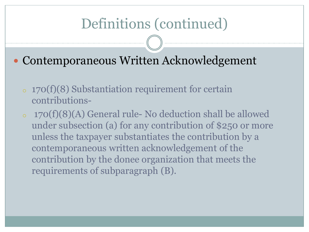• Contemporaneous Written Acknowledgement

- <sup>o</sup> 170(f)(8) Substantiation requirement for certain contributions-
- <sup>o</sup> 170(f)(8)(A) General rule- No deduction shall be allowed under subsection (a) for any contribution of \$250 or more unless the taxpayer substantiates the contribution by a contemporaneous written acknowledgement of the contribution by the donee organization that meets the requirements of subparagraph (B).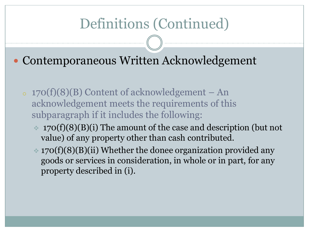• Contemporaneous Written Acknowledgement

- $\sim 170(f)(8)(B)$  Content of acknowledgement An acknowledgement meets the requirements of this subparagraph if it includes the following:
	- $\approx 170(f)(8)(B)(i)$  The amount of the case and description (but not value) of any property other than cash contributed.
	- $\approx$  170(f)(8)(B)(ii) Whether the donee organization provided any goods or services in consideration, in whole or in part, for any property described in (i).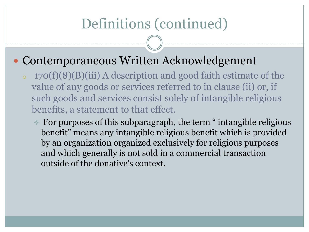#### • Contemporaneous Written Acknowledgement

- $\circ$  170(f)(8)(B)(iii) A description and good faith estimate of the value of any goods or services referred to in clause (ii) or, if such goods and services consist solely of intangible religious benefits, a statement to that effect.
	- For purposes of this subparagraph, the term " intangible religious benefit" means any intangible religious benefit which is provided by an organization organized exclusively for religious purposes and which generally is not sold in a commercial transaction outside of the donative's context.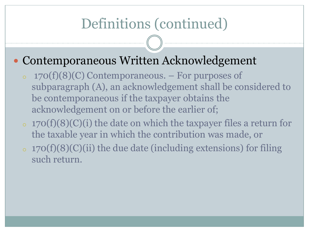#### Contemporaneous Written Acknowledgement

- $\circ$  170(f)(8)(C) Contemporaneous. For purposes of subparagraph (A), an acknowledgement shall be considered to be contemporaneous if the taxpayer obtains the acknowledgement on or before the earlier of;
- $\sigma$  170(f)(8)(C)(i) the date on which the taxpayer files a return for the taxable year in which the contribution was made, or
- $\circ$  170(f)(8)(C)(ii) the due date (including extensions) for filing such return.